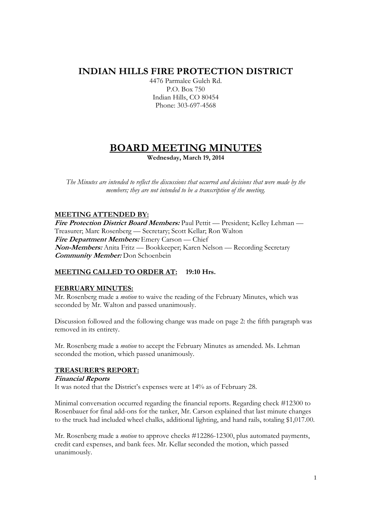# **INDIAN HILLS FIRE PROTECTION DISTRICT**

4476 Parmalee Gulch Rd. P.O. Box 750 Indian Hills, CO 80454 Phone: 303-697-4568

# **BOARD MEETING MINUTES**

**Wednesday, March 19, 2014** 

*The Minutes are intended to reflect the discussions that occurred and decisions that were made by the members; they are not intended to be a transcription of the meeting.* 

## **MEETING ATTENDED BY:**

**Fire Protection District Board Members:** Paul Pettit — President; Kelley Lehman — Treasurer; Marc Rosenberg — Secretary; Scott Kellar; Ron Walton **Fire Department Members:** Emery Carson — Chief **Non-Members:** Anita Fritz — Bookkeeper; Karen Nelson — Recording Secretary **Community Member:** Don Schoenbein

# **MEETING CALLED TO ORDER AT: 19:10 Hrs.**

#### **FEBRUARY MINUTES:**

Mr. Rosenberg made a *motion* to waive the reading of the February Minutes, which was seconded by Mr. Walton and passed unanimously.

Discussion followed and the following change was made on page 2: the fifth paragraph was removed in its entirety.

Mr. Rosenberg made a *motion* to accept the February Minutes as amended. Ms. Lehman seconded the motion, which passed unanimously.

#### **TREASURER'S REPORT:**

**Financial Reports**  It was noted that the District's expenses were at 14% as of February 28.

Minimal conversation occurred regarding the financial reports. Regarding check #12300 to Rosenbauer for final add-ons for the tanker, Mr. Carson explained that last minute changes to the truck had included wheel chalks, additional lighting, and hand rails, totaling \$1,017.00.

Mr. Rosenberg made a *motion* to approve checks #12286-12300, plus automated payments, credit card expenses, and bank fees. Mr. Kellar seconded the motion, which passed unanimously.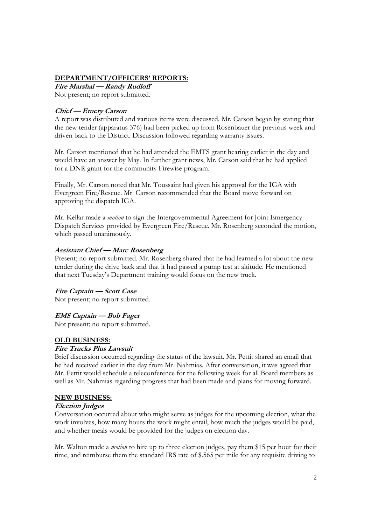#### **DEPARTMENT/OFFICERS' REPORTS:**

**Fire Marshal — Randy Rudloff**  Not present; no report submitted.

# **Chief — Emery Carson**

A report was distributed and various items were discussed. Mr. Carson began by stating that the new tender (apparatus 376) had been picked up from Rosenbauer the previous week and driven back to the District. Discussion followed regarding warranty issues.

Mr. Carson mentioned that he had attended the EMTS grant hearing earlier in the day and would have an answer by May. In further grant news, Mr. Carson said that he had applied for a DNR grant for the community Firewise program.

Finally, Mr. Carson noted that Mr. Toussaint had given his approval for the IGA with Evergreen Fire/Rescue. Mr. Carson recommended that the Board move forward on approving the dispatch IGA.

Mr. Kellar made a *motion* to sign the Intergovernmental Agreement for Joint Emergency Dispatch Services provided by Evergreen Fire/Rescue. Mr. Rosenberg seconded the motion, which passed unanimously.

#### **Assistant Chief — Marc Rosenberg**

Present; no report submitted. Mr. Rosenberg shared that he had learned a lot about the new tender during the drive back and that it had passed a pump test at altitude. He mentioned that next Tuesday's Department training would focus on the new truck.

#### **Fire Captain — Scott Case**

Not present; no report submitted.

#### **EMS Captain — Bob Fager**

Not present; no report submitted.

#### **OLD BUSINESS:**

#### **Fire Trucks Plus Lawsuit**

Brief discussion occurred regarding the status of the lawsuit. Mr. Pettit shared an email that he had received earlier in the day from Mr. Nahmias. After conversation, it was agreed that Mr. Pettit would schedule a teleconference for the following week for all Board members as well as Mr. Nahmias regarding progress that had been made and plans for moving forward.

#### **NEW BUSINESS:**

#### **Election Judges**

Conversation occurred about who might serve as judges for the upcoming election, what the work involves, how many hours the work might entail, how much the judges would be paid, and whether meals would be provided for the judges on election day.

Mr. Walton made a *motion* to hire up to three election judges, pay them \$15 per hour for their time, and reimburse them the standard IRS rate of \$.565 per mile for any requisite driving to